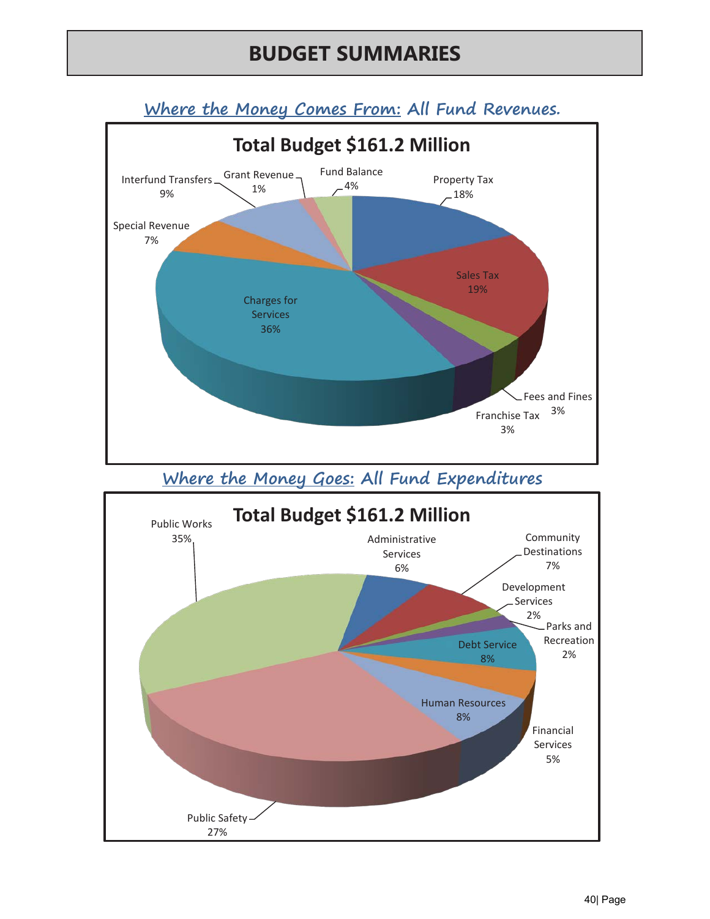# **BUDGET SUMMARIES**



**Where the Money Goes: All Fund Expenditures** 



**Where the Money Comes From: All Fund Revenues.**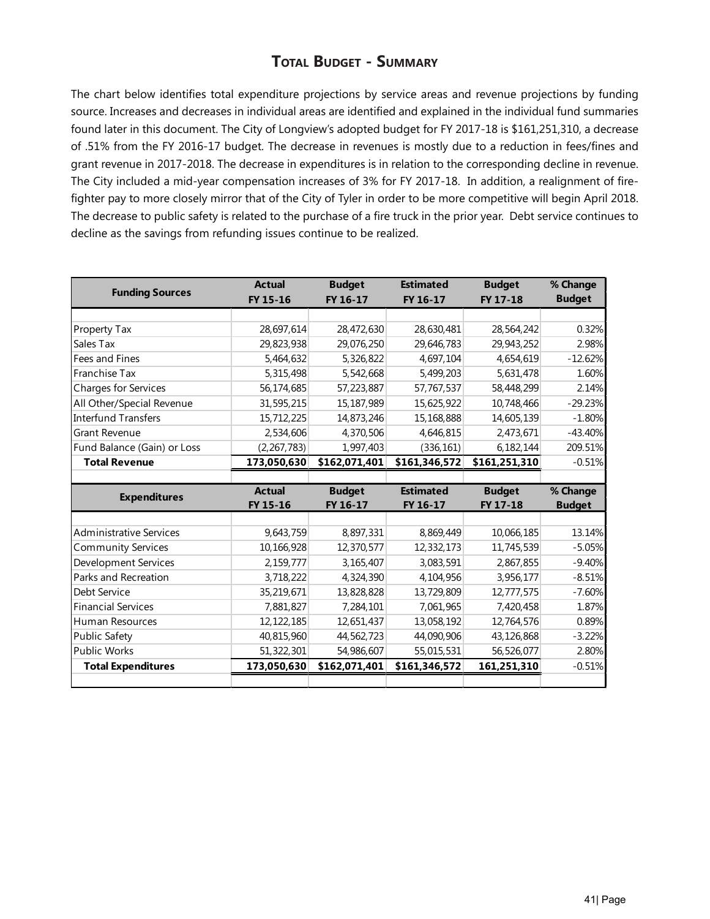## **Total Budget - Summary**

The chart below identifies total expenditure projections by service areas and revenue projections by funding source. Increases and decreases in individual areas are identified and explained in the individual fund summaries found later in this document. The City of Longview's adopted budget for FY 2017-18 is \$161,251,310, a decrease of .51% from the FY 2016-17 budget. The decrease in revenues is mostly due to a reduction in fees/fines and grant revenue in 2017-2018. The decrease in expenditures is in relation to the corresponding decline in revenue. The City included a mid-year compensation increases of 3% for FY 2017-18. In addition, a realignment of firefighter pay to more closely mirror that of the City of Tyler in order to be more competitive will begin April 2018. The decrease to public safety is related to the purchase of a fire truck in the prior year. Debt service continues to decline as the savings from refunding issues continue to be realized.

| <b>Funding Sources</b>         | <b>Actual</b> | <b>Budget</b> | <b>Estimated</b> | <b>Budget</b> | % Change          |
|--------------------------------|---------------|---------------|------------------|---------------|-------------------|
|                                | FY 15-16      | FY 16-17      | FY 16-17         | FY 17-18      | <b>Budget</b>     |
|                                |               |               |                  |               |                   |
| Property Tax                   | 28,697,614    | 28,472,630    | 28,630,481       | 28,564,242    | 0.32%             |
| Sales Tax                      | 29,823,938    | 29,076,250    | 29,646,783       | 29,943,252    | 2.98%             |
| Fees and Fines                 | 5,464,632     | 5,326,822     | 4,697,104        | 4,654,619     | $-12.62%$         |
| Franchise Tax                  | 5,315,498     | 5,542,668     | 5,499,203        | 5,631,478     | 1.60%             |
| Charges for Services           | 56,174,685    | 57,223,887    | 57,767,537       | 58,448,299    | 2.14%             |
| All Other/Special Revenue      | 31,595,215    | 15,187,989    | 15,625,922       | 10,748,466    | $-29.23%$         |
| <b>Interfund Transfers</b>     | 15,712,225    | 14,873,246    | 15,168,888       | 14,605,139    | $-1.80%$          |
| <b>Grant Revenue</b>           | 2,534,606     | 4,370,506     | 4,646,815        | 2,473,671     | $-43.40%$         |
| Fund Balance (Gain) or Loss    | (2, 267, 783) | 1,997,403     | (336, 161)       | 6,182,144     | 209.51%           |
| <b>Total Revenue</b>           | 173,050,630   | \$162,071,401 | \$161,346,572    | \$161,251,310 | $-0.51%$          |
|                                |               |               |                  |               |                   |
|                                |               |               |                  |               |                   |
|                                | <b>Actual</b> | <b>Budget</b> | <b>Estimated</b> | <b>Budget</b> | % Change          |
| <b>Expenditures</b>            | FY 15-16      | FY 16-17      | FY 16-17         | FY 17-18      | <b>Budget</b>     |
|                                |               |               |                  |               |                   |
| <b>Administrative Services</b> | 9,643,759     | 8,897,331     | 8,869,449        | 10,066,185    | 13.14%            |
| <b>Community Services</b>      | 10,166,928    | 12,370,577    | 12,332,173       | 11,745,539    | $-5.05%$          |
| Development Services           | 2,159,777     | 3,165,407     | 3,083,591        | 2,867,855     | $-9.40%$          |
| Parks and Recreation           | 3,718,222     | 4,324,390     | 4,104,956        | 3,956,177     | $-8.51%$          |
| Debt Service                   | 35,219,671    | 13,828,828    | 13,729,809       | 12,777,575    | $-7.60%$          |
| <b>Financial Services</b>      | 7,881,827     | 7,284,101     | 7,061,965        | 7,420,458     | 1.87%             |
| Human Resources                | 12, 122, 185  | 12,651,437    | 13,058,192       | 12,764,576    | 0.89%             |
| <b>Public Safety</b>           | 40,815,960    | 44,562,723    | 44,090,906       | 43,126,868    |                   |
| <b>Public Works</b>            | 51,322,301    | 54,986,607    | 55,015,531       | 56,526,077    | $-3.22%$<br>2.80% |
| <b>Total Expenditures</b>      | 173,050,630   | \$162,071,401 | \$161,346,572    | 161,251,310   | $-0.51%$          |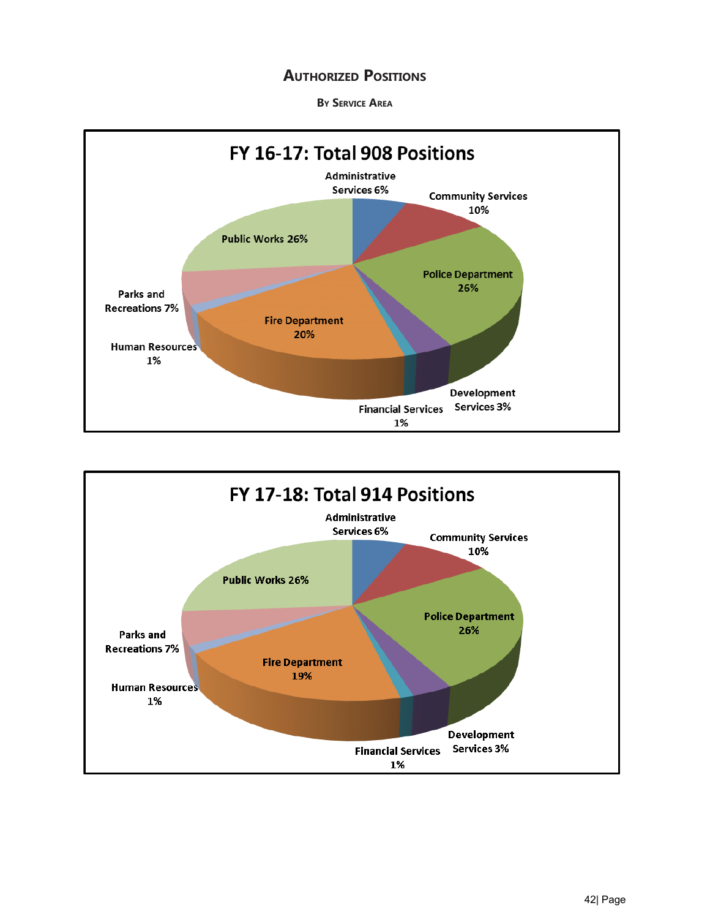### **AUTHORIZED POSITIONS**

**By Service Area**



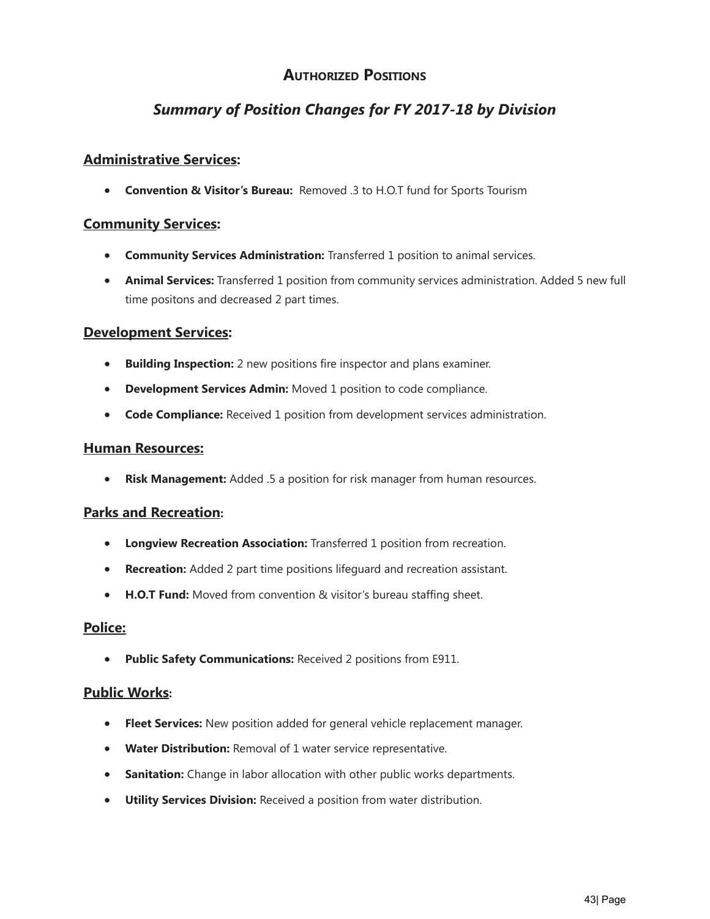## **Authorized Positions**

## *Summary of Position Changes for FY 2017-18 by Division*

#### **Administrative Services:**

• **Convention & Visitor's Bureau:** Removed .3 to H.O.T fund for Sports Tourism

#### **Community Services:**

- **Community Services Administration:** Transferred 1 position to animal services.
- **Animal Services:** Transferred 1 position from community services administration. Added 5 new full time positons and decreased 2 part times.

#### **Development Services:**

- **Building Inspection:** 2 new positions fire inspector and plans examiner.
- **Development Services Admin:** Moved 1 position to code compliance.
- **Code Compliance:** Received 1 position from development services administration.

#### **Human Resources:**

• **Risk Management:** Added .5 a position for risk manager from human resources.

#### **Parks and Recreation:**

- **Longview Recreation Association:** Transferred 1 position from recreation.
- **Recreation:** Added 2 part time positions lifeguard and recreation assistant.
- **H.O.T Fund:** Moved from convention & visitor's bureau staffing sheet.

#### **Police:**

• **Public Safety Communications:** Received 2 positions from E911.

#### **Public Works:**

- **Fleet Services:** New position added for general vehicle replacement manager.
- **Water Distribution:** Removal of 1 water service representative.
- **Sanitation:** Change in labor allocation with other public works departments.
- **Utility Services Division:** Received a position from water distribution.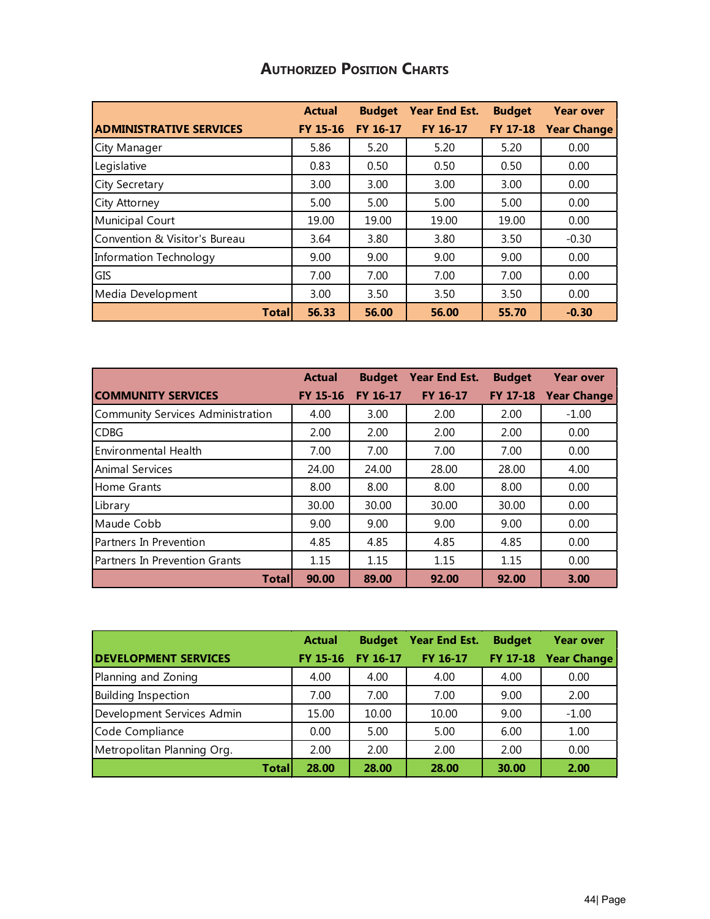## **Authorized Position Charts**

|                                | <b>Actual</b>   | <b>Budget</b> | Year End Est.   | <b>Budget</b> | <b>Year over</b>   |
|--------------------------------|-----------------|---------------|-----------------|---------------|--------------------|
| <b>ADMINISTRATIVE SERVICES</b> | <b>FY 15-16</b> | FY 16-17      | <b>FY 16-17</b> | FY 17-18      | <b>Year Change</b> |
| City Manager                   | 5.86            | 5.20          | 5.20            | 5.20          | 0.00               |
| Legislative                    | 0.83            | 0.50          | 0.50            | 0.50          | 0.00               |
| <b>City Secretary</b>          | 3.00            | 3.00          | 3.00            | 3.00          | 0.00               |
| City Attorney                  | 5.00            | 5.00          | 5.00            | 5.00          | 0.00               |
| Municipal Court                | 19.00           | 19.00         | 19.00           | 19.00         | 0.00               |
| Convention & Visitor's Bureau  | 3.64            | 3.80          | 3.80            | 3.50          | $-0.30$            |
| Information Technology         | 9.00            | 9.00          | 9.00            | 9.00          | 0.00               |
| GIS                            | 7.00            | 7.00          | 7.00            | 7.00          | 0.00               |
| Media Development              | 3.00            | 3.50          | 3.50            | 3.50          | 0.00               |
| <b>Total</b>                   | 56.33           | 56.00         | 56.00           | 55.70         | $-0.30$            |

|                                   | <b>Actual</b>   | <b>Budget</b>   | Year End Est.   | <b>Budget</b>   | <b>Year over</b>   |
|-----------------------------------|-----------------|-----------------|-----------------|-----------------|--------------------|
| <b>COMMUNITY SERVICES</b>         | <b>FY 15-16</b> | <b>FY 16-17</b> | <b>FY 16-17</b> | <b>FY 17-18</b> | <b>Year Change</b> |
| Community Services Administration | 4.00            | 3.00            | 2.00            | 2.00            | $-1.00$            |
| <b>CDBG</b>                       | 2.00            | 2.00            | 2.00            | 2.00            | 0.00               |
| <b>Environmental Health</b>       | 7.00            | 7.00            | 7.00            | 7.00            | 0.00               |
| Animal Services                   | 24.00           | 24.00           | 28.00           | 28.00           | 4.00               |
| Home Grants                       | 8.00            | 8.00            | 8.00            | 8.00            | 0.00               |
| Library                           | 30.00           | 30.00           | 30.00           | 30.00           | 0.00               |
| Maude Cobb                        | 9.00            | 9.00            | 9.00            | 9.00            | 0.00               |
| Partners In Prevention            | 4.85            | 4.85            | 4.85            | 4.85            | 0.00               |
| Partners In Prevention Grants     | 1.15            | 1.15            | 1.15            | 1.15            | 0.00               |
| <b>Total</b>                      | 90.00           | 89.00           | 92.00           | 92.00           | 3.00               |

|                             | <b>Actual</b>   | <b>Budget</b> | <b>Year End Est.</b> | <b>Budget</b> | <b>Year over</b>     |
|-----------------------------|-----------------|---------------|----------------------|---------------|----------------------|
| <b>DEVELOPMENT SERVICES</b> | <b>FY 15-16</b> | FY 16-17      | <b>FY 16-17</b>      |               | FY 17-18 Year Change |
| Planning and Zoning         | 4.00            | 4.00          | 4.00                 | 4.00          | 0.00                 |
| <b>Building Inspection</b>  | 7.00            | 7.00          | 7.00                 | 9.00          | 2.00                 |
| Development Services Admin  | 15.00           | 10.00         | 10.00                | 9.00          | $-1.00$              |
| Code Compliance             | 0.00            | 5.00          | 5.00                 | 6.00          | 1.00                 |
| Metropolitan Planning Org.  | 2.00            | 2.00          | 2.00                 | 2.00          | 0.00                 |
| <b>Total</b>                | 28.00           | 28.00         | 28.00                | 30.00         | 2.00                 |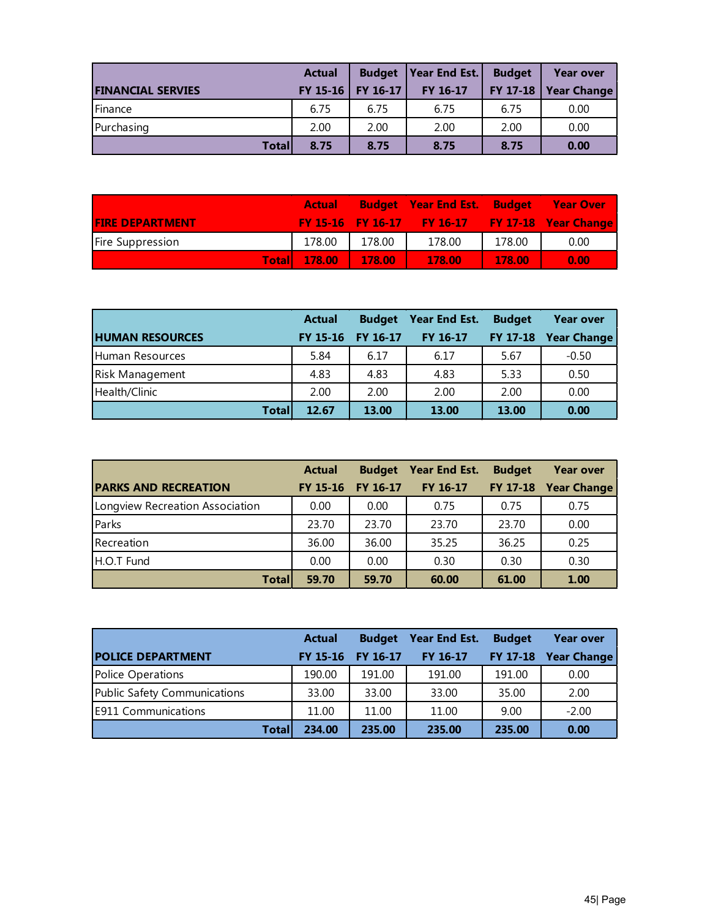|                          | <b>Actual</b> |                     | <b>Budget   Year End Est.  </b> | <b>Budget</b> | <b>Year over</b> |
|--------------------------|---------------|---------------------|---------------------------------|---------------|------------------|
| <b>FINANCIAL SERVIES</b> |               | FY 15-16   FY 16-17 | FY 16-17                        | FY 17-18      | Year Change      |
| Finance                  | 6.75          | 6.75                | 6.75                            | 6.75          | 0.00             |
| Purchasing               | 2.00          | 2.00                | 2.00                            | 2.00          | 0.00             |
| <b>Total</b>             | 8.75          | 8.75                | 8.75                            | 8.75          | 0.00             |

|                         | <b>Actual</b>         |        | <b>Budget Year End Est. Budget Year Over</b>    |        |      |
|-------------------------|-----------------------|--------|-------------------------------------------------|--------|------|
| <b>FIRE DEPARTMENT</b>  |                       |        | FY 15-16 FY 16-17 FY 16-17 FY 17-18 Year Change |        |      |
| <b>Fire Suppression</b> | 178.00                | 178.00 | 178.00                                          | 178.00 | 0.00 |
|                         | Total 178.00   178.00 |        | 178.00                                          | 178.00 | 0.00 |

|                        | <b>Actual</b>   | <b>Budget</b> | Year End Est. | <b>Budget</b> | <b>Year over</b>   |
|------------------------|-----------------|---------------|---------------|---------------|--------------------|
| <b>HUMAN RESOURCES</b> | <b>FY 15-16</b> | FY 16-17      | FY 16-17      | FY 17-18      | <b>Year Change</b> |
| Human Resources        | 5.84            | 6.17          | 6.17          | 5.67          | $-0.50$            |
| Risk Management        | 4.83            | 4.83          | 4.83          | 5.33          | 0.50               |
| Health/Clinic          | 2.00            | 2.00          | 2.00          | 2.00          | 0.00               |
| <b>Total</b>           | 12.67           | 13.00         | 13.00         | 13.00         | 0.00               |

|                                 | <b>Actual</b>   | <b>Budget</b>   | Year End Est. | <b>Budget</b> | <b>Year over</b>   |
|---------------------------------|-----------------|-----------------|---------------|---------------|--------------------|
| <b>PARKS AND RECREATION</b>     | <b>FY 15-16</b> | <b>FY 16-17</b> | FY 16-17      | FY 17-18      | <b>Year Change</b> |
| Longview Recreation Association | 0.00            | 0.00            | 0.75          | 0.75          | 0.75               |
| Parks                           | 23.70           | 23.70           | 23.70         | 23.70         | 0.00               |
| Recreation                      | 36.00           | 36.00           | 35.25         | 36.25         | 0.25               |
| H.O.T Fund                      | 0.00            | 0.00            | 0.30          | 0.30          | 0.30               |
| <b>Total</b>                    | 59.70           | 59.70           | 60.00         | 61.00         | 1.00               |

|                              | <b>Actual</b>   | <b>Budget</b>   | Year End Est. | <b>Budget</b> | <b>Year over</b> |
|------------------------------|-----------------|-----------------|---------------|---------------|------------------|
| <b>POLICE DEPARTMENT</b>     | <b>FY 15-16</b> | <b>FY 16-17</b> | FY 16-17      | FY 17-18      | Year Change      |
| Police Operations            | 190.00          | 191.00          | 191.00        | 191.00        | 0.00             |
| Public Safety Communications | 33.00           | 33.00           | 33.00         | 35.00         | 2.00             |
| <b>E911 Communications</b>   | 11.00           | 11.00           | 11.00         | 9.00          | $-2.00$          |
| <b>Total</b>                 | 234.00          | 235.00          | 235.00        | 235.00        | 0.00             |